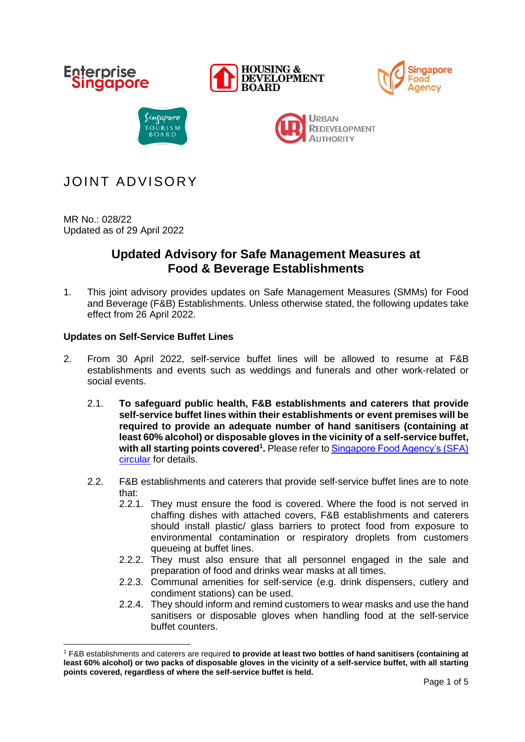

# JOINT ADVISORY

MR No.: 028/22 Updated as of 29 April 2022

## **Updated Advisory for Safe Management Measures at Food & Beverage Establishments**

1. This joint advisory provides updates on Safe Management Measures (SMMs) for Food and Beverage (F&B) Establishments. Unless otherwise stated, the following updates take effect from 26 April 2022.

## **Updates on Self-Service Buffet Lines**

- 2. From 30 April 2022, self-service buffet lines will be allowed to resume at F&B establishments and events such as weddings and funerals and other work-related or social events.
	- 2.1. **To safeguard public health, F&B establishments and caterers that provide self-service buffet lines within their establishments or event premises will be required to provide an adequate number of hand sanitisers (containing at least 60% alcohol) or disposable gloves in the vicinity of a self-service buffet, with all starting points covered<sup>1</sup> .** Please refer t[o Singapore Food Agency's \(SFA\)](https://www-sfa-gov-sg-admin.cwp.sg/docs/default-source/default-document-library/circular-on-self-service-buffets-in-food-and-beverage-(fb)-establishments_faired-(002).pdf) [circular](https://www-sfa-gov-sg-admin.cwp.sg/docs/default-source/default-document-library/circular-on-self-service-buffets-in-food-and-beverage-(fb)-establishments_faired-(002).pdf) for details.
	- 2.2. F&B establishments and caterers that provide self-service buffet lines are to note that:
		- 2.2.1. They must ensure the food is covered. Where the food is not served in chaffing dishes with attached covers, F&B establishments and caterers should install plastic/ glass barriers to protect food from exposure to environmental contamination or respiratory droplets from customers queueing at buffet lines.
		- 2.2.2. They must also ensure that all personnel engaged in the sale and preparation of food and drinks wear masks at all times.
		- 2.2.3. Communal amenities for self-service (e.g. drink dispensers, cutlery and condiment stations) can be used.
		- 2.2.4. They should inform and remind customers to wear masks and use the hand sanitisers or disposable gloves when handling food at the self-service buffet counters.

<sup>1</sup> F&B establishments and caterers are required **to provide at least two bottles of hand sanitisers (containing at least 60% alcohol) or two packs of disposable gloves in the vicinity of a self-service buffet, with all starting points covered, regardless of where the self-service buffet is held.**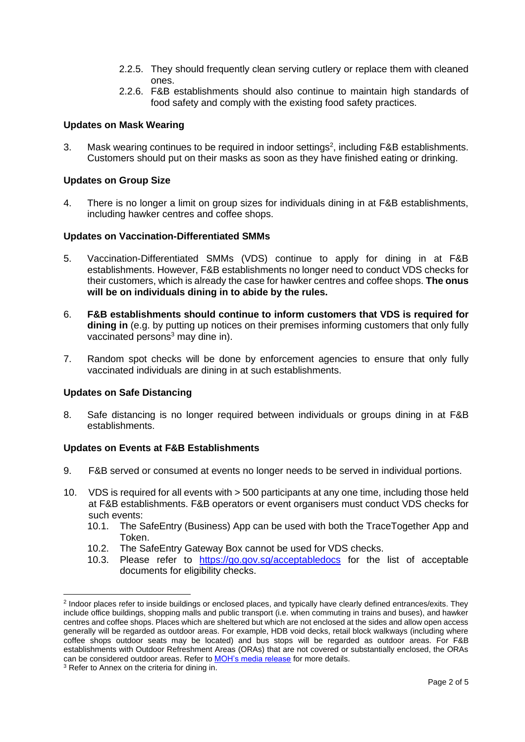- 2.2.5. They should frequently clean serving cutlery or replace them with cleaned ones.
- 2.2.6. F&B establishments should also continue to maintain high standards of food safety and comply with the existing food safety practices.

### **Updates on Mask Wearing**

3. Mask wearing continues to be required in indoor settings<sup>2</sup>, including  $F&B$  establishments. Customers should put on their masks as soon as they have finished eating or drinking.

### **Updates on Group Size**

4. There is no longer a limit on group sizes for individuals dining in at F&B establishments, including hawker centres and coffee shops.

### **Updates on Vaccination-Differentiated SMMs**

- 5. Vaccination-Differentiated SMMs (VDS) continue to apply for dining in at F&B establishments. However, F&B establishments no longer need to conduct VDS checks for their customers, which is already the case for hawker centres and coffee shops. **The onus will be on individuals dining in to abide by the rules.**
- 6. **F&B establishments should continue to inform customers that VDS is required for dining in** (e.g. by putting up notices on their premises informing customers that only fully vaccinated persons $3$  may dine in).
- 7. Random spot checks will be done by enforcement agencies to ensure that only fully vaccinated individuals are dining in at such establishments.

### **Updates on Safe Distancing**

8. Safe distancing is no longer required between individuals or groups dining in at F&B establishments.

### **Updates on Events at F&B Establishments**

- 9. F&B served or consumed at events no longer needs to be served in individual portions.
- 10. VDS is required for all events with > 500 participants at any one time, including those held at F&B establishments. F&B operators or event organisers must conduct VDS checks for such events:
	- 10.1. The SafeEntry (Business) App can be used with both the TraceTogether App and Token.
	- 10.2. The SafeEntry Gateway Box cannot be used for VDS checks.
	- 10.3. Please refer to <https://go.gov.sg/acceptabledocs> for the list of acceptable documents for eligibility checks.

<sup>2</sup> Indoor places refer to inside buildings or enclosed places, and typically have clearly defined entrances/exits. They include office buildings, shopping malls and public transport (i.e. when commuting in trains and buses), and hawker centres and coffee shops. Places which are sheltered but which are not enclosed at the sides and allow open access generally will be regarded as outdoor areas. For example, HDB void decks, retail block walkways (including where coffee shops outdoor seats may be located) and bus stops will be regarded as outdoor areas. For F&B establishments with Outdoor Refreshment Areas (ORAs) that are not covered or substantially enclosed, the ORAs can be considered outdoor areas. Refer to [MOH's media release](https://www.moh.gov.sg/news-highlights/details/easing-of-community-smms-and-border-measures) for more details.

<sup>&</sup>lt;sup>3</sup> Refer to Annex on the criteria for dining in.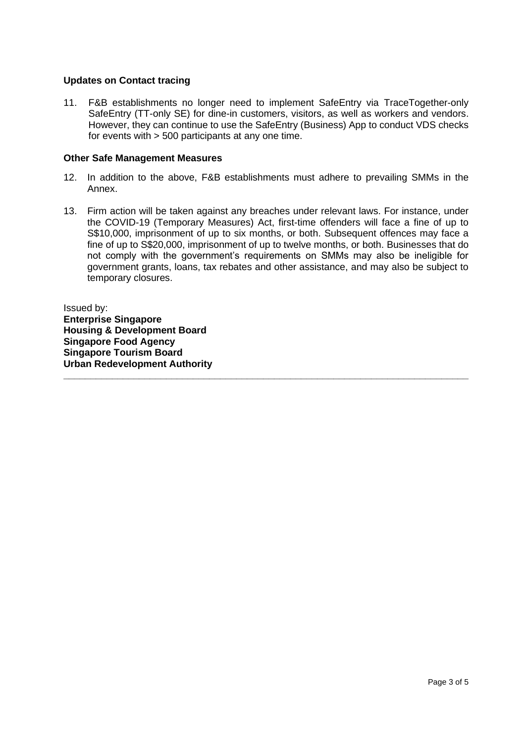### **Updates on Contact tracing**

11. F&B establishments no longer need to implement SafeEntry via TraceTogether-only SafeEntry (TT-only SE) for dine-in customers, visitors, as well as workers and vendors. However, they can continue to use the SafeEntry (Business) App to conduct VDS checks for events with > 500 participants at any one time.

#### **Other Safe Management Measures**

- 12. In addition to the above, F&B establishments must adhere to prevailing SMMs in the Annex.
- 13. Firm action will be taken against any breaches under relevant laws. For instance, under the COVID-19 (Temporary Measures) Act, first-time offenders will face a fine of up to S\$10,000, imprisonment of up to six months, or both. Subsequent offences may face a fine of up to S\$20,000, imprisonment of up to twelve months, or both. Businesses that do not comply with the government's requirements on SMMs may also be ineligible for government grants, loans, tax rebates and other assistance, and may also be subject to temporary closures.

**\_\_\_\_\_\_\_\_\_\_\_\_\_\_\_\_\_\_\_\_\_\_\_\_\_\_\_\_\_\_\_\_\_\_\_\_\_\_\_\_\_\_\_\_\_\_\_\_\_\_\_\_\_\_\_\_\_\_\_\_\_\_\_\_\_\_\_\_\_\_\_\_\_\_\_**

Issued by: **Enterprise Singapore Housing & Development Board Singapore Food Agency Singapore Tourism Board Urban Redevelopment Authority**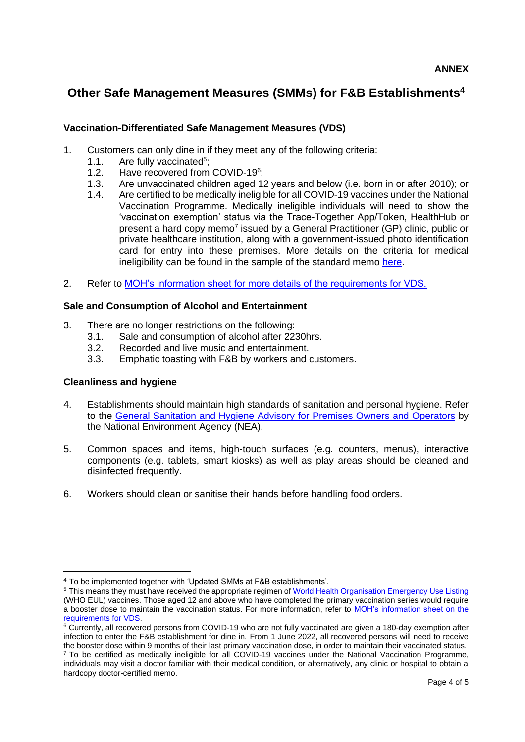## **Other Safe Management Measures (SMMs) for F&B Establishments<sup>4</sup>**

## **Vaccination-Differentiated Safe Management Measures (VDS)**

- 1. Customers can only dine in if they meet any of the following criteria:
	- 1.1. Are fully vaccinated<sup>5</sup>;
	- 1.2. Have recovered from COVID-19<sup>6</sup>;
	- 1.3. Are unvaccinated children aged 12 years and below (i.e. born in or after 2010); or
	- 1.4. Are certified to be medically ineligible for all COVID-19 vaccines under the National Vaccination Programme. Medically ineligible individuals will need to show the 'vaccination exemption' status via the Trace-Together App/Token, HealthHub or present a hard copy memo<sup>7</sup> issued by a General Practitioner (GP) clinic, public or private healthcare institution, along with a government-issued photo identification card for entry into these premises. More details on the criteria for medical ineligibility can be found in the sample of the standard memo [here.](https://go.gov.sg/acceptabledocs)
- 2. Refer to [MOH's information sheet for more details of the requirements for VDS.](https://go.gov.sg/vdsmminfo)

## **Sale and Consumption of Alcohol and Entertainment**

- 3. There are no longer restrictions on the following:
	- 3.1. Sale and consumption of alcohol after 2230hrs.
	- 3.2. Recorded and live music and entertainment.
	- 3.3. Emphatic toasting with F&B by workers and customers.

## **Cleanliness and hygiene**

- 4. Establishments should maintain high standards of sanitation and personal hygiene. Refer to the [General Sanitation and Hygiene Advisory for Premises Owners and Operators](https://www.nea.gov.sg/our-services/public-cleanliness/environmental-cleaning-guidelines/advisories/general-sanitation-and-hygiene-advisory-for-premises-owners-and-operators) by the National Environment Agency (NEA).
- 5. Common spaces and items, high-touch surfaces (e.g. counters, menus), interactive components (e.g. tablets, smart kiosks) as well as play areas should be cleaned and disinfected frequently.
- 6. Workers should clean or sanitise their hands before handling food orders.

<sup>4</sup> To be implemented together with 'Updated SMMs at F&B establishments'.

<sup>&</sup>lt;sup>5</sup> This means they must have received the appropriate regimen of [World Health Organisation Emergency Use Listing](https://www.who.int/emergencies/diseases/novel-coronavirus-2019/covid-19-vaccines) (WHO EUL) vaccines. Those aged 12 and above who have completed the primary vaccination series would require a booster dose to maintain the vaccination status. For more information, refer to [MOH's information sheet on the](https://go.gov.sg/vdsmminfo)  [requirements for VDS.](https://go.gov.sg/vdsmminfo)

<sup>&</sup>lt;sup>6</sup> Currently, all recovered persons from COVID-19 who are not fully vaccinated are given a 180-day exemption after infection to enter the F&B establishment for dine in. From 1 June 2022, all recovered persons will need to receive the booster dose within 9 months of their last primary vaccination dose, in order to maintain their vaccinated status.

<sup>&</sup>lt;sup>7</sup> To be certified as medically ineligible for all COVID-19 vaccines under the National Vaccination Programme, individuals may visit a doctor familiar with their medical condition, or alternatively, any clinic or hospital to obtain a hardcopy doctor-certified memo.